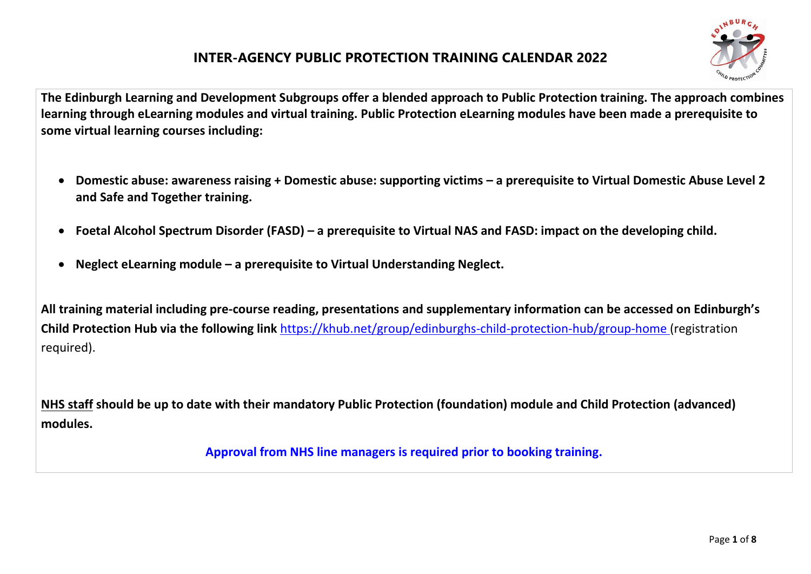

**The Edinburgh Learning and Development Subgroups offer a blended approach to Public Protection training. The approach combines learning through eLearning modules and virtual training. Public Protection eLearning modules have been made a prerequisite to some virtual learning courses including:**

- **Domestic abuse: awareness raising + Domestic abuse: supporting victims – a prerequisite to Virtual Domestic Abuse Level 2 and Safe and Together training.**
- **Foetal Alcohol Spectrum Disorder (FASD) – a prerequisite to Virtual NAS and FASD: impact on the developing child.**
- **Neglect eLearning module – a prerequisite to Virtual Understanding Neglect.**

**All training material including pre-course reading, presentations and supplementary information can be accessed on Edinburgh's Child Protection Hub via the following link** <https://khub.net/group/edinburghs-child-protection-hub/group-home> (registration required).

**NHS staff should be up to date with their mandatory Public Protection (foundation) module and Child Protection (advanced) modules.**

 **Approval from NHS line managers is required prior to booking training.**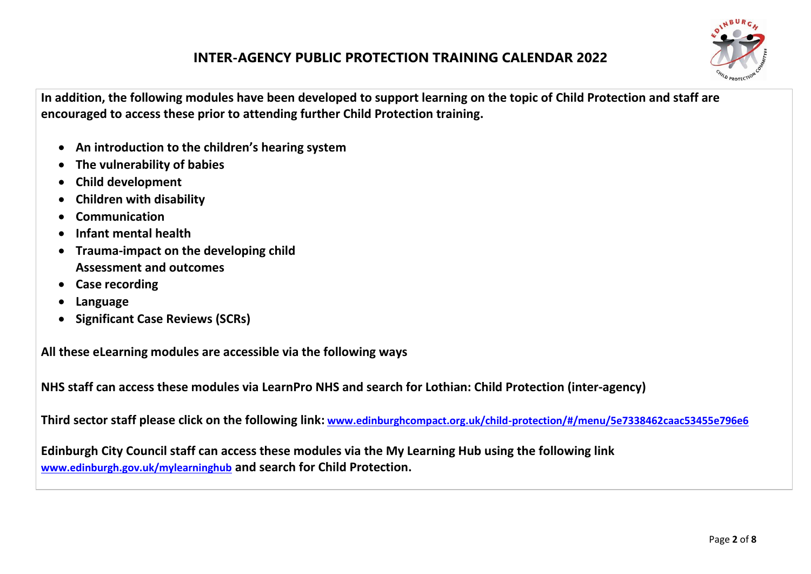

**In addition, the following modules have been developed to support learning on the topic of Child Protection and staff are encouraged to access these prior to attending further Child Protection training.**

- **An introduction to the children's hearing system**
- **The vulnerability of babies**
- **Child development**
- **Children with disability**
- **Communication**
- **Infant mental health**
- **Trauma-impact on the developing child Assessment and outcomes**
- **Case recording**
- **Language**
- **Significant Case Reviews (SCRs)**

**All these eLearning modules are accessible via the following ways**

**NHS staff can access these modules via LearnPro NHS and search for Lothian: Child Protection (inter-agency)**

**Third sector staff please click on the following link: [www.edinburghcompact.org.uk/child-protection/#/menu/5e7338462caac53455e796e6](http://www.edinburghcompact.org.uk/child-protection/#/menu/5e7338462caac53455e796e6)**

**Edinburgh City Council staff can access these modules via the My Learning Hub using the following link [www.edinburgh.gov.uk/mylearninghub](http://www.edinburgh.gov.uk/mylearninghub) and search for Child Protection.**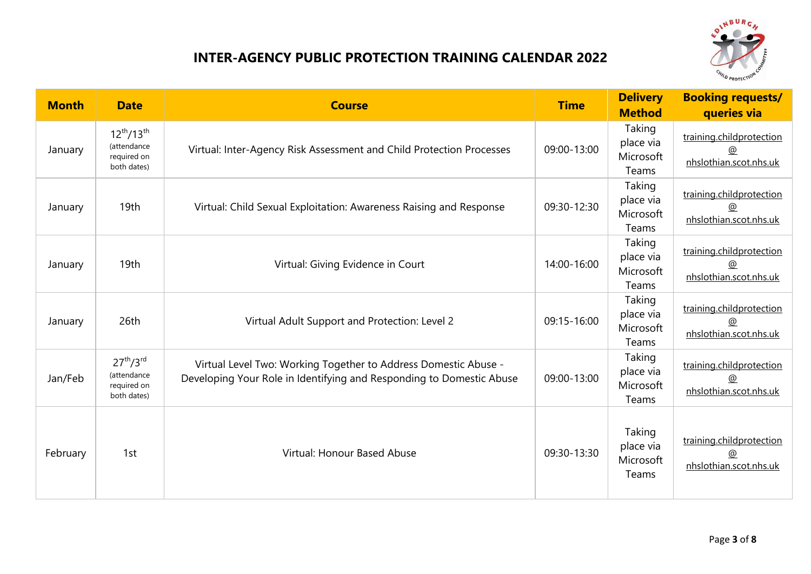

| <b>Month</b> | <b>Date</b>                                                                    | <b>Course</b>                                                                                                                           | <b>Time</b> | <b>Delivery</b><br><b>Method</b>          | <b>Booking requests/</b><br>queries via                          |
|--------------|--------------------------------------------------------------------------------|-----------------------------------------------------------------------------------------------------------------------------------------|-------------|-------------------------------------------|------------------------------------------------------------------|
| January      | $12^{th}/13^{th}$<br>(attendance<br>required on<br>both dates)                 | Virtual: Inter-Agency Risk Assessment and Child Protection Processes                                                                    | 09:00-13:00 | Taking<br>place via<br>Microsoft<br>Teams | training.childprotection<br>@<br>nhslothian.scot.nhs.uk          |
| January      | 19th                                                                           | Virtual: Child Sexual Exploitation: Awareness Raising and Response                                                                      | 09:30-12:30 | Taking<br>place via<br>Microsoft<br>Teams | training.childprotection<br>@<br>nhslothian.scot.nhs.uk          |
| January      | 19th                                                                           | Virtual: Giving Evidence in Court                                                                                                       | 14:00-16:00 | Taking<br>place via<br>Microsoft<br>Teams | training.childprotection<br>@<br>nhslothian.scot.nhs.uk          |
| January      | 26th                                                                           | Virtual Adult Support and Protection: Level 2                                                                                           | 09:15-16:00 | Taking<br>place via<br>Microsoft<br>Teams | training.childprotection<br>@<br>nhslothian.scot.nhs.uk          |
| Jan/Feb      | 27 <sup>th</sup> /3 <sup>rd</sup><br>(attendance<br>required on<br>both dates) | Virtual Level Two: Working Together to Address Domestic Abuse -<br>Developing Your Role in Identifying and Responding to Domestic Abuse | 09:00-13:00 | Taking<br>place via<br>Microsoft<br>Teams | training.childprotection<br>@<br>nhslothian.scot.nhs.uk          |
| February     | 1st                                                                            | Virtual: Honour Based Abuse                                                                                                             | 09:30-13:30 | Taking<br>place via<br>Microsoft<br>Teams | training.childprotection<br>$^{\circ}$<br>nhslothian.scot.nhs.uk |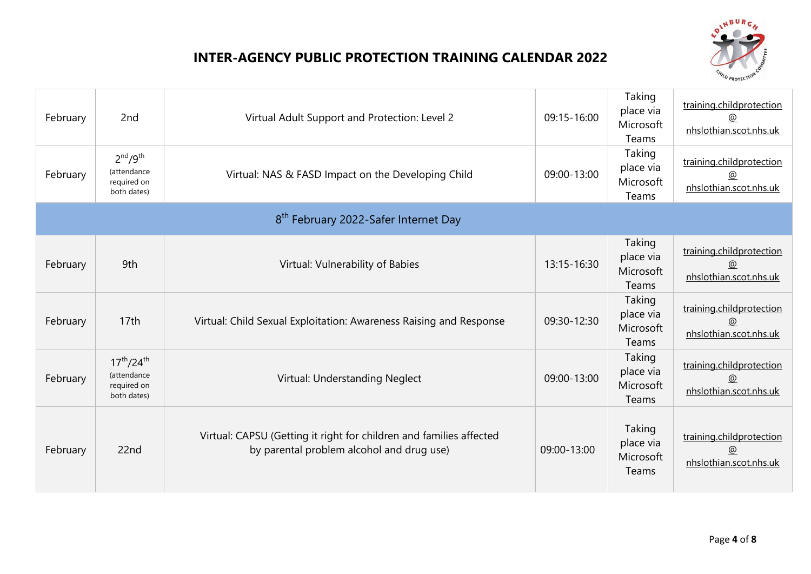

| February | 2nd                                                                           | Virtual Adult Support and Protection: Level 2                                                                    | 09:15-16:00 | Taking<br>place via<br>Microsoft<br>Teams | training.childprotection<br>nhslothian.scot.nhs.uk      |
|----------|-------------------------------------------------------------------------------|------------------------------------------------------------------------------------------------------------------|-------------|-------------------------------------------|---------------------------------------------------------|
| February | 2 <sup>nd</sup> /9 <sup>th</sup><br>(attendance<br>required on<br>both dates) | Virtual: NAS & FASD Impact on the Developing Child                                                               | 09:00-13:00 | Taking<br>place via<br>Microsoft<br>Teams | training.childprotection<br>@<br>nhslothian.scot.nhs.uk |
|          |                                                                               | 8 <sup>th</sup> February 2022-Safer Internet Day                                                                 |             |                                           |                                                         |
| February | 9th                                                                           | Virtual: Vulnerability of Babies                                                                                 | 13:15-16:30 | Taking<br>place via<br>Microsoft<br>Teams | training.childprotection<br>@<br>nhslothian.scot.nhs.uk |
| February | 17 <sub>th</sub>                                                              | Virtual: Child Sexual Exploitation: Awareness Raising and Response                                               | 09:30-12:30 | Taking<br>place via<br>Microsoft<br>Teams | training.childprotection<br>@<br>nhslothian.scot.nhs.uk |
| February | $17^{th}/24^{th}$<br>(attendance<br>required on<br>both dates)                | Virtual: Understanding Neglect                                                                                   | 09:00-13:00 | Taking<br>place via<br>Microsoft<br>Teams | training.childprotection<br>@<br>nhslothian.scot.nhs.uk |
| February | 22nd                                                                          | Virtual: CAPSU (Getting it right for children and families affected<br>by parental problem alcohol and drug use) | 09:00-13:00 | Taking<br>place via<br>Microsoft<br>Teams | training.childprotection<br>@<br>nhslothian.scot.nhs.uk |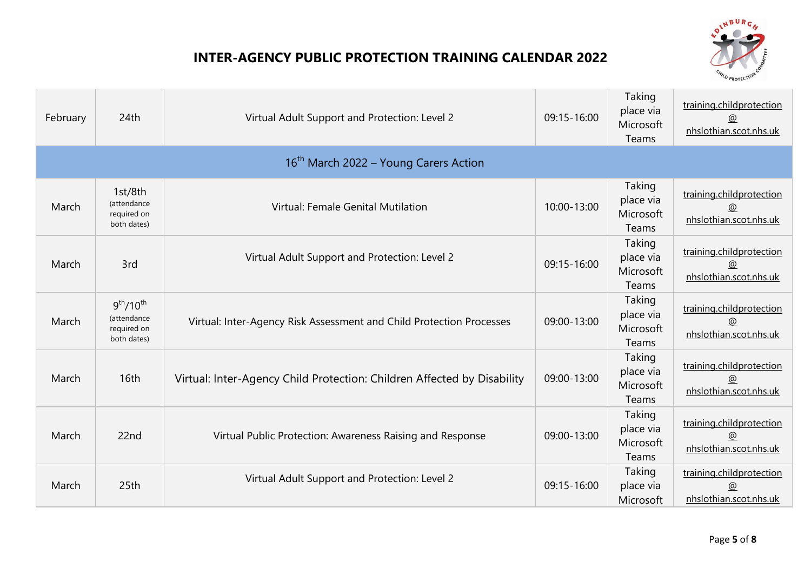

| February | 24th                                                                           | Virtual Adult Support and Protection: Level 2                           | 09:15-16:00 | Taking<br>place via<br>Microsoft<br>Teams | training.childprotection<br><u>@</u><br>nhslothian.scot.nhs.uk       |
|----------|--------------------------------------------------------------------------------|-------------------------------------------------------------------------|-------------|-------------------------------------------|----------------------------------------------------------------------|
|          |                                                                                | 16 <sup>th</sup> March 2022 – Young Carers Action                       |             |                                           |                                                                      |
| March    | 1st/8th<br>(attendance<br>required on<br>both dates)                           | Virtual: Female Genital Mutilation                                      | 10:00-13:00 | Taking<br>place via<br>Microsoft<br>Teams | training.childprotection<br>$\circledcirc$<br>nhslothian.scot.nhs.uk |
| March    | 3rd                                                                            | Virtual Adult Support and Protection: Level 2                           | 09:15-16:00 | Taking<br>place via<br>Microsoft<br>Teams | training.childprotection<br>@<br>nhslothian.scot.nhs.uk              |
| March    | 9 <sup>th</sup> /10 <sup>th</sup><br>(attendance<br>required on<br>both dates) | Virtual: Inter-Agency Risk Assessment and Child Protection Processes    | 09:00-13:00 | Taking<br>place via<br>Microsoft<br>Teams | training.childprotection<br>@<br>nhslothian.scot.nhs.uk              |
| March    | 16th                                                                           | Virtual: Inter-Agency Child Protection: Children Affected by Disability | 09:00-13:00 | Taking<br>place via<br>Microsoft<br>Teams | training.childprotection<br>@<br>nhslothian.scot.nhs.uk              |
| March    | 22nd                                                                           | Virtual Public Protection: Awareness Raising and Response               | 09:00-13:00 | Taking<br>place via<br>Microsoft<br>Teams | training.childprotection<br>@<br>nhslothian.scot.nhs.uk              |
| March    | 25th                                                                           | Virtual Adult Support and Protection: Level 2                           | 09:15-16:00 | Taking<br>place via<br>Microsoft          | training.childprotection<br>@<br>nhslothian.scot.nhs.uk              |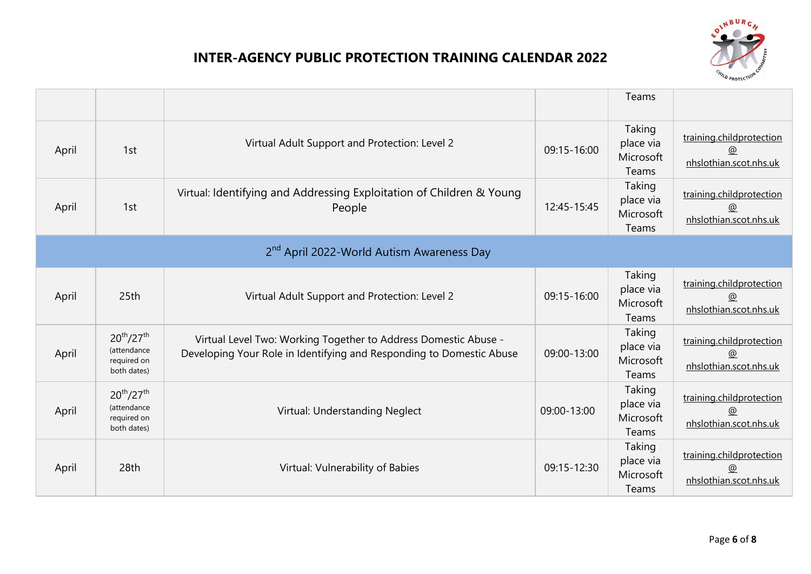

|       |                                                                |                                                                                                                                         |             | Teams                                     |                                                         |
|-------|----------------------------------------------------------------|-----------------------------------------------------------------------------------------------------------------------------------------|-------------|-------------------------------------------|---------------------------------------------------------|
| April | 1st                                                            | Virtual Adult Support and Protection: Level 2                                                                                           | 09:15-16:00 | Taking<br>place via<br>Microsoft<br>Teams | training.childprotection<br>nhslothian.scot.nhs.uk      |
| April | 1st                                                            | Virtual: Identifying and Addressing Exploitation of Children & Young<br>People                                                          | 12:45-15:45 | Taking<br>place via<br>Microsoft<br>Teams | training.childprotection<br>@<br>nhslothian.scot.nhs.uk |
|       |                                                                | 2 <sup>nd</sup> April 2022-World Autism Awareness Day                                                                                   |             |                                           |                                                         |
| April | 25th                                                           | Virtual Adult Support and Protection: Level 2                                                                                           | 09:15-16:00 | Taking<br>place via<br>Microsoft<br>Teams | training.childprotection<br>@<br>nhslothian.scot.nhs.uk |
| April | $20^{th}/27^{th}$<br>(attendance<br>required on<br>both dates) | Virtual Level Two: Working Together to Address Domestic Abuse -<br>Developing Your Role in Identifying and Responding to Domestic Abuse | 09:00-13:00 | Taking<br>place via<br>Microsoft<br>Teams | training.childprotection<br>@<br>nhslothian.scot.nhs.uk |
| April | $20^{th}/27^{th}$<br>(attendance<br>required on<br>both dates) | Virtual: Understanding Neglect                                                                                                          | 09:00-13:00 | Taking<br>place via<br>Microsoft<br>Teams | training.childprotection<br>@<br>nhslothian.scot.nhs.uk |
| April | 28th                                                           | Virtual: Vulnerability of Babies                                                                                                        | 09:15-12:30 | Taking<br>place via<br>Microsoft<br>Teams | training.childprotection<br>@<br>nhslothian.scot.nhs.uk |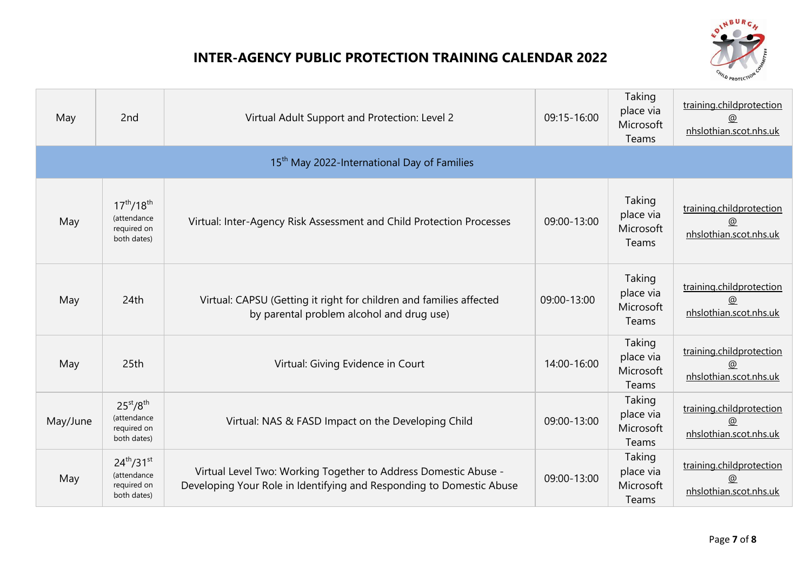

| May      | 2nd                                                                            | Virtual Adult Support and Protection: Level 2                                                                                           | 09:15-16:00 | Taking<br>place via<br>Microsoft<br>Teams | training.childprotection<br>$^{\circ}$<br>nhslothian.scot.nhs.uk |
|----------|--------------------------------------------------------------------------------|-----------------------------------------------------------------------------------------------------------------------------------------|-------------|-------------------------------------------|------------------------------------------------------------------|
|          |                                                                                | 15 <sup>th</sup> May 2022-International Day of Families                                                                                 |             |                                           |                                                                  |
| May      | $17^{th}/18^{th}$<br>(attendance<br>required on<br>both dates)                 | Virtual: Inter-Agency Risk Assessment and Child Protection Processes                                                                    | 09:00-13:00 | Taking<br>place via<br>Microsoft<br>Teams | training.childprotection<br>@<br>nhslothian.scot.nhs.uk          |
| May      | 24th                                                                           | Virtual: CAPSU (Getting it right for children and families affected<br>by parental problem alcohol and drug use)                        | 09:00-13:00 | Taking<br>place via<br>Microsoft<br>Teams | training.childprotection<br>@<br>nhslothian.scot.nhs.uk          |
| May      | 25 <sub>th</sub>                                                               | Virtual: Giving Evidence in Court                                                                                                       | 14:00-16:00 | Taking<br>place via<br>Microsoft<br>Teams | training.childprotection<br>@<br>nhslothian.scot.nhs.uk          |
| May/June | 25 <sup>st</sup> /8 <sup>th</sup><br>(attendance<br>required on<br>both dates) | Virtual: NAS & FASD Impact on the Developing Child                                                                                      | 09:00-13:00 | Taking<br>place via<br>Microsoft<br>Teams | training.childprotection<br>@<br>nhslothian.scot.nhs.uk          |
| May      | $24^{th}/31^{st}$<br>(attendance<br>required on<br>both dates)                 | Virtual Level Two: Working Together to Address Domestic Abuse -<br>Developing Your Role in Identifying and Responding to Domestic Abuse | 09:00-13:00 | Taking<br>place via<br>Microsoft<br>Teams | training.childprotection<br>@<br>nhslothian.scot.nhs.uk          |